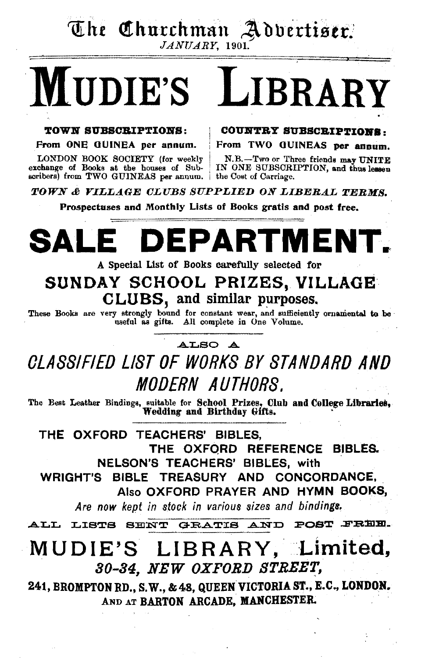# The Churchman Advertiser.

# MUDIE'S LIBRARY

#### TOWN SUBSCRIPTIONS: COUNTRY SUBSCRIPTIONS.

LONDON BOOK SOCIETY (for weekly N.B.-Two or Three friends may UNITE exchange of Books at the houses of Sub- IN ONE SUBSCRIPTION, and thus lessen scribers) from TWO GUINEAS per annum.

From ONE GUINEA per annum. From TWO GUINEAS per annum.

IN ONE SUBSCRIPTION, and thus lessen the Cost of Carriage.

**TOWN & VILLAGE CLUBS SUPPLIED ON LIBERAL TERMS.** 

Prospectuses and Monthly Lists of Books gratis and post free.

# DEPARTMEN

#### A Special List of Books earefully selected for

### SUNDAY SCHOOL PRIZES, VILLAGE CLUBS, and similar purposes.

These Books are very strongly bound for constant wear, and sufficiently ornamental to be useful as gifts. All complete in One Volume.

#### ALSO .A.

## OLASSIFIED LIST OF WORKS BY STANDARD AND MODERN AUTHORS.

The Best Leather Bindings, suitable for School Prizes, Club and College Libraries, Wedding and Birthday Gifts.

THE OXFORD TEACHERS' BIBLES, THE OXFORD REFERENCE BIBLES. NELSON'S TEACHERS' BIBLES, with WRIGHT'S BIBLE TREASURY AND CONCORDANCE. Also OXFORD PRAYER AND HYMN BOOKS,

Are now kept in stock in various sizes and bindings.

ALL LISTS SENT GRATIS AND POST FREE.

### MUDIE'S LIBRARY, Limited, 30-34, NEW OXFORD STREET,

241, BROMPTON RD., S.W., & 48, QUEEN VICTORIA ST., E.C., LONDON. AND AT BARTON ARCADE, MANCHESTER.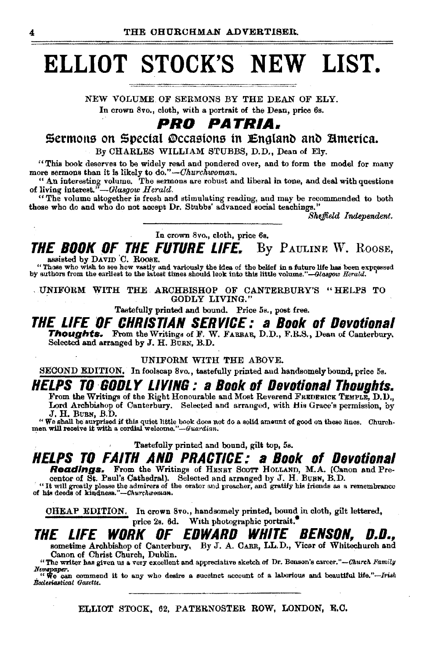## **ELLIOT STOCK'S NEW LIST.**

NEW VOLUME OF SERMONS BY THE DEAN OF ELY. In crown 8vo., cloth, with a portrait of the Dean, price 6s.

### *PRO PATRIA.*

Sermons on Special Occasions in England and America. By CHARLES WILLIAM STUBBS, D.D., Dean of Ely.

"This book deserves to be widely read and pondered over, and to form the model for many more sermons than it is likely to do." *-Churchwoman.* 

"An interesting volume. The sermons are robust and liberal in tone, and deal with questions of living interest."-Glasgow Herald.

"The volume altogether is fresh and stimulating reading, and may be recommended to both those who do and who do not accept Dr. Stubbs' advanced social teachings.''

*Shejfteld Independent.* 

In crown 8vo., cloth, price 6s.

THE BOOK OF THE FUTURE LIFE. By PAULINE W. ROOSE,

assisted by DAVID C. ROOSE.

"Those who wish to see how vastly and variously the idea of the belief in a future life has been expressed by authors from the earliest to the latest times should look into this little volume."-Glasgow *Herald.* 

. UNIFORM WITH THE. ARCHBISHOP OF CANTERBURY'S "HELPS TO GODLY LIVING."

Tastefully printed and bound. Price 5s., post free.

**THE LIFE OF CHRISTIAN SERVICE: a Book of Devotional Thoughts.** From the Writings of F. W. FARRAR, D.D., F.R.S., Dean of Canterbury. Selected and arranged by J. H. BURN, B.D.

#### UNIFORM WITH THE ABOVE.

SECOND EDITION, In foolscap 8vo., tastefully printed and handsomely bound, price 5s.

## **HELPS TO GODLY LIVING : a Book of Devotional Thoughts.**<br>From the Writings of the Right Honourable and Most Reverend FREDERICK TEMPLE, D.D.,

Lord Archbishop of Canterbury. Selected and arranged, with His Grace's permission, by J. H. BUBN, B.D.

"We shall be surprised if this quiet little book does not do a solid ameunt of good on these lines. Ohurch· men will receive it with a cordial *weloome.''-Guardian.* 

Tastefully printed and bound, gilt top, 5s.

### **HELPS TO FAITH AND PRACTICE: a Book of Devotional**

**Readings.** From the Writings of HENEY SCOTT HOLLAND, M.A. (Canon and Precentor of St. Paul's Cathedral). Selected and arranged by J. H. BUBN, B.D.<br>
"It will greatly please the admirers of the orator and preacher, and grat

OHEAP EDITION. In crown 8vo., handsomely printed, bound in cloth, gilt lettered, price 2s. 6d. With photographic portrait.

## **THE LIFE WORK OF EDWARD WHITE BENSON, D.D.,**<br>sometime Archbishop of Canterbury, By J. A. CARR, LL.D., Vicar of Whitechurch and

Canon of Christ Church, Dublin.

"The writer has given us a very excellent and appreciative sketch of Dr. Benson's career."-Church Family

Newspaper.<br> *.* "We can commend it to any who desire a succinct account of a laborious and beautiful life."---Irish <br>Bockstastical Gazette.

ELLIOT STOCK, 62, PATERNOSTER ROW, LONDON, E.O.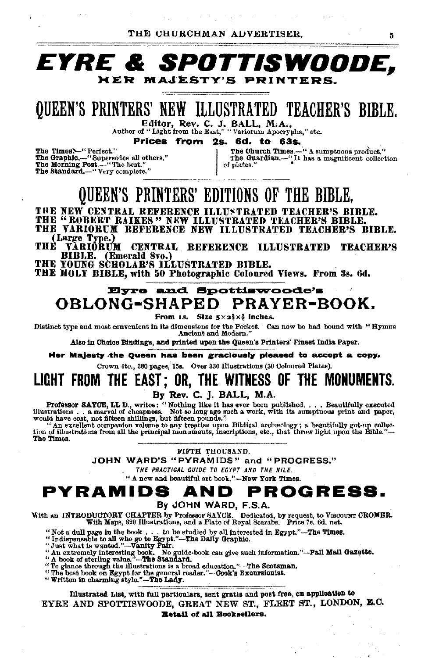

## **QUEEN'S PRINTERS' NEW ILLUSTRATED TEACHER'S BIBLE.**

Filtor, Rev. C. J. BALL, M.A.,<br>Author of "Light from the East," "Variorum Apocrypha," etc.

Prices from 2s. 6d. to 63s.

The Times ~- "Perfect."<br>The Graphic.--- "Supersedes all others."<br>The Morning Post.--- "The best." The Standard.-"Very complete."

The Church Times.-" A sumptuous product."<br>The Guardian.--"It has a magnificent collection of plates.

### QUEEN'S PRINTERS' EDITIONS OF THE BIBLE.

THE NEW CENTRAL REFERENCE ILLUSTRATED TEACHER'S BIBLE.<br>THE "ROBERT RAIKES" NEW ILLUSTRATED TEACHER'S BIBLE. THE VARIORUM REFERENCE NEW ILLUSTRATED TEACHER'S BIBLE.

(Large Type.)

**THE** VĂRIŎRƯM CENTRAL REFERENCE ILLUSTRATED TEACHER'S (Emerald 8vo.) BIBLE.

THE YOUNG SCHOLAR'S ILLUSTRATED BIBLE.

THE HOLY BIBLE, with 50 Photographic Coloured Views. From 3s. 6d.

### Eyre and Spottiswoode's OBLONG-SHAPED PRAYER-BOOK.

From is. Size  $5 \times 2\frac{3}{2} \times \frac{5}{4}$  inches.

Distinct type and most convenient in its dimensions for the Pocket. Can now be had bound with "Hymns

Ancient and Modern.

Also in Choice Bindings, and printed upon the Queen's Printers' Finest India Paper.

Her Majesty the Queen has been graciously pleased to accept a copy.

Crown 4to., 380 pages, 15s. Over 330 Illustrations (30 Coloured Plates).

### LIGHT FROM THE EAST; OR, THE WITNESS OF THE MONUMENTS. By Rev. C. J. BALL, M.A.

Professor SATOE, LL D., writes: "Nothing like it has ever been published.... Beautifully executed<br>illustrations... a marvel of cheapnes. Not so long age such a work, with its sumptuous print and paper,<br>would have cost, not

tion of illustrations from all the principal monuments, inscriptions, etc., that throw light upon the Bible."-The Times.

FIFTH THOUSAND.

JOHN WARD'S "PYRAMIDS" and "PROGRESS."

THE PRACTICAL QUIDE TO EGYPT AND THE NILE.

" A new and beautiful art book."-New York Times.

#### **PROGRESS.** PYRAMIDS AND

#### By JOHN WARD, F.S.A.

With an INTRODUCTORY CHAPTER by Professor SAYCE. Dedicated, by request, to VISCOUNT CROMBR.<br>With Maps, 320 Illustrations, and a Plate of Royal Scarabs. Price 7s. 6d. net.

- 
- 
- "Not a dull page in the book . . . to be studied by all interested in Egypt."-The Times.<br>"Indispensable to all who go to Egypt."-The Daily Graphic.<br>"Just what is wanted."-Vanity Fair.<br>"An extremely interested in Egypt."-T
- 
- "The best book on Egypt for the general reader."-Oook's Excursionist."<br>Written in charming style."-The Lady.
- 

Illustrated List, with full particulars, sent gratis and post free, on application to EYRE AND SPOTTISWOODE, GREAT NEW ST., FLEET ST., LONDON, E.C. **Eetail of all Booksellers.** 

A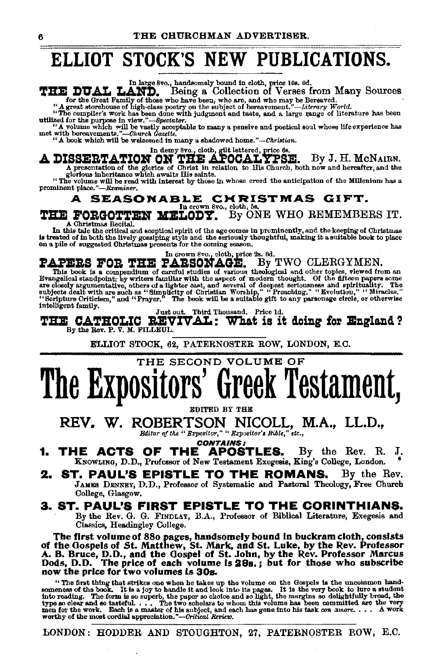### ELLIOT STOCK'S NEW PUBLICATIONS.

In large 8vo., handsomely bound in cloth, price 10s. 6d.<br>
In large 8vo., handsomely bound in cloth, price 10s. 6d.<br>
In Fig. DULICES INCRESS from Many Sources<br>
"A great storehouse of high-class poetry on the subject of bere

A DISSERTATION ON THE APOCALTPSE. By J. H. MCNAIRN. A presentation of the glories of Christ in relation to His Church, both now and hereafter, and the glorious inheritance which awaits His saints.

"The volume will be read with interest by those in whose creed the anticipation of the Millenium has a prominent *place."-Rxminer.* 

#### A SEASONABLE CHRISTMAS GIFT.

THE FORGOTTEN MELODY. By ONE WHO REMEMBERS IT.

In this tale the critical and scoptical spirit of the age comes in prominently, and the keeping of Christmas is treated of in both the lively gossiping style and the seriously thoughtful, making it a suitable book to place

In crown 8vo., cloth, price 2s. 6d.<br>PAPERS FOR THE PARSONAGE. By TWO CLERGYMEN.<br>This book is a compendium of careful studies of various theological and other topics, vlewed from an

This book is a compendium of careful studies of various theological and other topics, vlewed from an Evangelical standpoint; by writers familiar with the aspect of modern thought. Of the fifteen papers some closely argume intelligent family.<br>  $\frac{J_{\text{u}}}{J_{\text{u}}} = \frac{J_{\text{u}}}{J_{\text{u}}} = \frac{J_{\text{u}}}{J_{\text{u}}}$ . Third Thousand. Price 1d.

THE CATHOLIC REVIVAL: What is it doing for England?<br>By the Rev. P. V. M. FILLEUL.<br>ELLIOT STOCK, 62, PATERNOSTER ROW, LONDON, E.C. By the Rev. P. V. M. FILLEUL.

## THE SECOND VOLUME OF The Expositors' Greek Testament,

EDITED BY THE

REV. W. ROBERTSON NICOLL, M.A., LL.D., *Bditor of the" Bxpositor;'* h *BxpJ8itor'l Bible," etc.,* 

CONTAINS:

1. THE ACTS OF THE APOSTLES. By the Rev. R. J. KNOWLING, D.D., Professor of New Testament Exegesis, King's College, London.

2. ST. PAUL'S EPISTLE TO THE ROMANS. By the Rev. JAMES DENNEY, D.D., Professor of Systematic and Pastoral Theology, Free Church College, Glasgow.

#### 3. ST. PAUL'S FIRST EPISTLE TO THE CORINTHIANS. By the Rev. G. G. FINDLAY, B.A., Professor of Biblical Literature, Exegesis and

Classics, Headingley College.

The first volume of 880 pages, handsomely bound in buckram cloth, consists of the Gospels of St. Matthew, St. Mark, and St. Luke, by the Rev. Professor A. B. Bruce, D. D., and the Gospel of St. John, by the Rev. Professor Marcus Dods, D.D. The price of each volume is 28s.; but for those who subscribe now the price for two volumes is 30s.

"The first thing that strikes one when he takes up the volume on the Gospels is the uncommon hand-<br>someness of the book. It is a joy to handle it and look into its pages. It is the very book to lure a student<br>into reading worthy of the most cordial appreciation. *"-Critical Review,* 

LONDON: HODDER AND STOUGHTON, 27, PATERNOSTER ROW, E.C.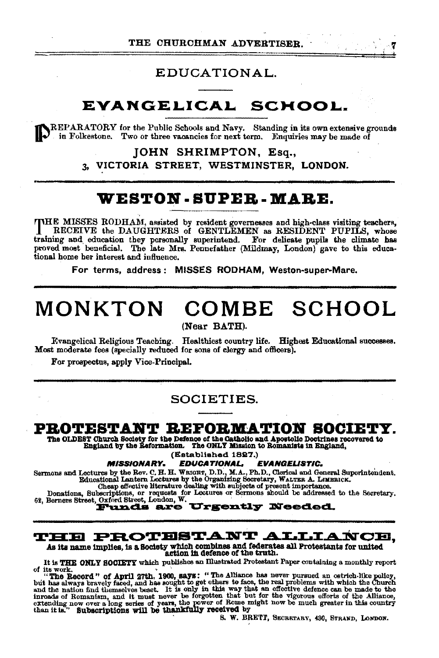#### EDUCATIONAL.

### EVANGELICAL SCHOOL.

REPARATORY for the Public Schools and Navy. Standing in its own extensive grounds in Folkestone. Two or three vacancies for next term. Enquiries may be made of

> **IOHN SHRIMPTON, Esq.,** VICTORIA STREET, WESTMINSTER, LONDON.  $3<sub>n</sub>$

### WESTON-SUPER-MARE.

THE MISSES RODHAM, assisted by resident governesses and high-class visiting teachers, RECEIVE the DAUGHTERS of GENTLEMEN as RESIDENT PUPILS, whose training and education they personally superintend. For delicate pupils the climate has proved most beneficial. The late Mrs. Pennefather (Mildmay, London) gave to this educational home her interest and influence.

For terms, address: MISSES RODHAM, Weston-super-Mare,

## MONKTON COMBE SCHOOL

(Near BATH).

Evangelical Religious Teaching. Healthiest country life. Highest Educational successes. Most moderate fees (specially reduced for sons of clergy and officers).

For prospectus, apply Vice-Principal.

#### SOCIETIES.

#### PROTESTANT REFORMATION SOCIETY.

The OLDEST Church Society for the Defence of the Catholic and Apostolic Doctrines recovered to England by the Reformation. The ONLY Mission to Romanista in England.

(Established 1827.)

**MISSIONARY.** EDUCATIONAL. **EVANGELISTIC.** 

Sermons and Lectures by the Rev. C. H. H. WEGHT, D.D., M.A., Ph.D., Clerical and General Superintendent.<br>
Educational Lantern Lectures by the Organizing Secretary, WALTER A. LIMERICK.<br>
Cheap effective literature dealing wi

**Urgently Needed.** 

#### **THE PROTESTANT ALLIANCE.**

As its name implies, is a Society which combines and federates all Protestants for united action in defence of the truth.

It is THE ONLY SOCIETY which publishes an Illustrated Protestant Paper containing a monthly report

It is THE GROOT of April 27th, 1900, says: "The Alliance has never pursued an ostrich-like policy, of its work.<br>
"The Record " of April 27th, 1900, says: "The Alliance has never pursued an ostrich-like policy, "<br>
"The Reco

S. W. BRETT, SECRETARY, 430, STRAND, LONDON.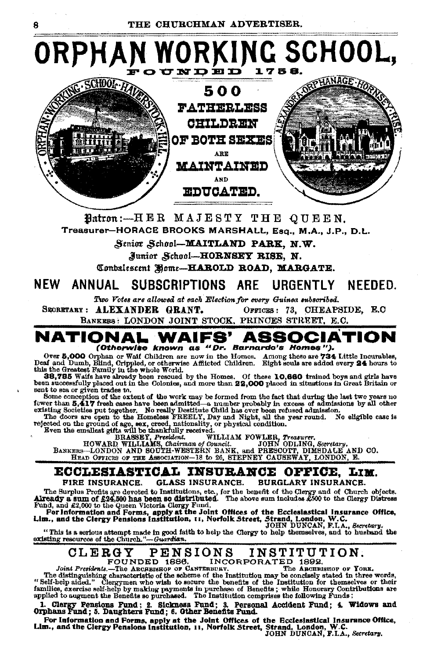Ŕ



Watron:--HER MAJESTY THE OUEEN. Treasurer-HORACE BROOKS MARSHALL, Esq., M.A., J.P., D.L.

Senior School-MAITLAND PARK, N.W.

Junior School-HORNSEY RISE. N.

Combalescent Home-HAROLD ROAD, MARGATE.

#### **NFW** ANNUAL SUBSCRIPTIONS ARE URGFNTLY NFEDED.

Two Votes are allowed at each Election for every Guinea subscribed.

SECRETARY: ALEXANDER GRANT. OFFICES: 73, CHEAPSIDE, E.C. BANKERS: LONDON JOINT STOCK, PRINCES STREET, E.C.



Over 5,000 Orphan or Wall Children are now in the Homes. Among these are 734 Little Incurables,<br>Deaf and Dumb, Blind, Orippled, or otherwise Afflicted Children. Eight souls are added every 24 hours to<br>this the Greatest Fam

sent to sea or given trades to.

sent to sea or given trades to. Some or even the sea of the work may be formed from the fact that during the last two years no fewer than 5.417 freeh cases have been admitted—a number probably in excess of admissions by al

#### **ECCLESIASTICAL INSURANCE OFFICE.** LIM. **GLASS INSURANCE.** FIRE INSURANCE. **BURGLARY INSURANCE.**

The Surplus Profits are devoted to Institutions, etc., for the benefit of the Clergy and of Church objects.<br>Already a sum of £24,500 has been so distributed. The above sum includes £500 to the Clergy Distress<br>Fund, and £2,

"This is a serious attempt made in good faith to help the Clergy to help themselves, and to husband the existing resources of the Church."-Guardian.

#### NS INSTITUTION.<br>INCORPORATED 1892. CLERGY **PENSIONS**

FOUNDED 1886.

Joint Presidents.-The ARCHBISHOP OF CANTERBURY. The ARCHBISHOP OF YORK. The distinguishing characteristic of the scheme of the Institution may be conclusive to the heater and the scheme of the institution may be conclusive stated in three words, "Self-help aided." Clergymen who wish to secure

1. Clergy Pensions Fund: 2. Sickness Fund: 3. Personal Accident Fund: 4. Widows and Orphans Fund: 5. Daughters Fund: 6. Other Benefits Fund.

For Information and Forms, apply at the Joint Offices of the Ecclesiastical Insurance Office,<br>For Information and Forms, apply at the Joint Offices of the Ecclesiastical Insurance Office,<br>IDHN DUNCAN, F.I.A., Secretary.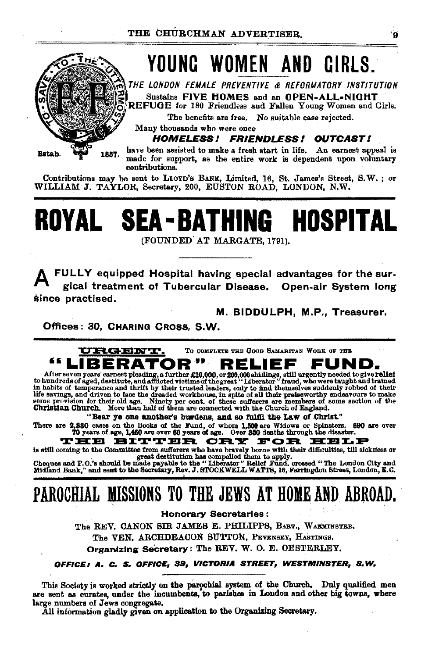

Contributions may be sent to LLOYD's BANK, Limited, 16, St, James's Street, S.W.; or WILLIAM J. TAYLOR, Secretary, 200, EUSTON ROAD, LONDON, N.W.

# ROYAL SEA-BATHING HOSPITAL

(FOUNDED AT MARGATE, 1791).

FULLY equipped Hospital having special advantages for the surgical treatment of Tubercular Disease. Open-air System long since practised,

M. BIDDULPH, M.P., Treasurer.

Offices: 30. CHARING CROSS. S.W.



After seven years' earnest pleading, a further £10,000, or 200,000 shillings, still urgently needed to give rallet to hundreds of aged, destitute, and afflicted victims of the great "Liberator" fraud, who were taught and t life savings, and driven to face the dreaded workhouse, in spits of all their preiseworthy endeavours to make<br>some provision for their old age. Ninety per cent. of these sufferers are members of some section of the<br>Christi

"Bear ye one another's burdens, and so fulfil the Law of Christ."

There are 2,830 cases on the Books of the Fund, of whom 1,500 are Widows or Spinsters. 690 are over<br>70 years of age, 1,460 are over 60 years of age. Over 350 deaths through the disaster.

THE BITTER CRY FOR EELP

is still coming to the Committee from sufferers who have bravely borne with their difficulties, till sickness or great destitution has compelled them to apply.<br>Cheques and P.O.'s should be made payable to the "Liberator" R

Midland Bank," and sent to the Secretary, Rev. J. STOCKWELL WATTS, 16, Farringdon Street, London, E.C.

### PAROCHIAL MISSIONS TO THE JEWS AT HOME AND ABROAD.

**Honorary Secretaries:** 

The REV. CANON SIR JAMES E. PHILIPPS, BABT., WARMINSTER. The VEN, ARCHDEACON SUTTON, PEVENSEY, HASTINGS.

Organizing Secretary: The REV. W. O. E. OESTERLEY.

#### OFFICE: A. C. S. OFFICE, 39, VICTORIA STREET, WESTMINSTER, S.W.

This Society is worked strictly on the parochial system of the Church. Duly qualified men are sent as curates, under the incumbents, to parishes in London and other big towns, where large numbers of Jews congregate.

All information gladly given on application to the Organizing Secretary.

۰ä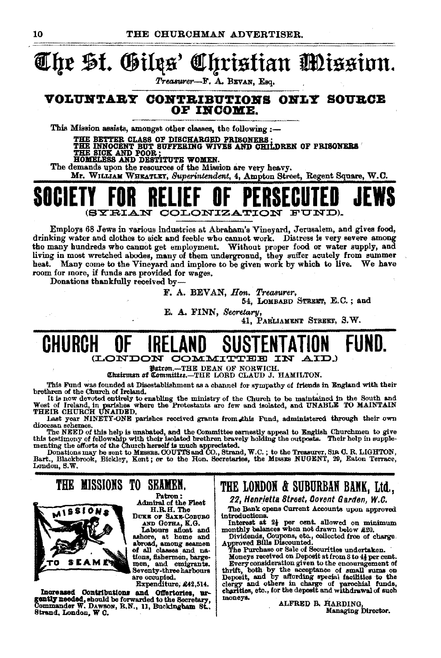#### Christian Mission. The St. Giles'

Treasurer-F. A. BEVAN, Esq.

#### VOLUNTARY CONTRIBUTIONS ONLY SOURCE OF INCOME.

This Mission assists, amongst other classes, the following :-

THE BETTER CLASS OF DISCHARGED PRISONERS;<br>THE INNOCENT BUT SUFFERING WIVES AND CHILDREN OF PRISONERS<br>THE SICK\_AND POOR; \_\_\_\_\_ \_ HOMELESS AND DESTITUTE WOMEN.

The demands upon the resources of the Mission are very heavy. Mr. WILLIAM WHEATLEY, Superintendent, 4, Ampton Street, Regent Square, W.C.



Employs 68 Jews in various industries at Abraham's Vineyard, Jerusalem, and gives food, drinking water and clothes to sick and feeble who cannot work. Distress is very severe among the many hundreds who cannot get employment. Without proper food or water supply, and living in most wretched abodes, many of them underground, they suffer acutely from summer heat. Many come to the Vineyard and implore to be given work by which to live. We have room for more, if funds are provided for wages.

Donations thankfully received by-

F. A. BEVAN, Hon. Treasurer,

54, LOMBARD STREET, E.C.; and

E. A. FINN, Secretary,

41, PARLIAMENT STREET, 3.W.

#### GHURGH *ICONTON* COMMITTER

Patron. -THE DEAN OF NORWICH.

Chairman of Committee.-THE LORD CLAUD J. HAMILTON.

This Fund was founded at Disestablishment as a channel for sympathy of friends in England with their brethren of the Church of Ireland.

It is now devoted entirely to enabling the ministry of the Church to be maintained in the South and West of Ireland, in parishes where the Protestants are few and isolated, and UNABLE TO MAINTAIN THEIR CHURCH UNAIDED.

Last year NINETY-ONE parishes received grants from this Fund, administered through their own diocesan schemes.

chocasin sonemes,<br>The NEED of this help is unabated, and the Committee earnestly appeal to English Churchmen to give<br>this testimony of fellowship with their isolated brethren bravely holding the outposts. Their help in sup

London, S.W.

moneys.

### THE MISSIONS TO SEAMEN.



Patron: Admiral of the Fleet<br>H.R.H. The DUKE OF SAXE-COBURG

AND GOTHA, K.G.<br>Labours afloat and<br>ashore, at home and<br>abroad, among seamen of all classes and nations, fishermen, bargemen, and emigrants. Seventy-three harbours are occupied.<br>Expenditure, £42,514.

Increased Contributions and Offertories, urgently needed, should be forwarded to the Secretary, Commander W. DAWSON, R.N., 11, Buckingham St., Strand, London, W C.

### THE LONDON & SUBURBAN BANK, Ltd.,

22, Henrietta Street, Covent Garden, W.C.

The Bank opens Current Accounts upon approved introductions.

Interest at 2<sup>1</sup> per cent. allowed on minimum<br>monthly balances when not drawn below £20.

Dividends, Coupons, etc., collected free of charge.<br>Approved Bills Discounted.<br>The Purchase or Sale of Securities undertaken.<br>The Purchase or Sale of Securities undertaken.<br>Moneys received on Deposit at from 3 to 4} per ce

Every consideration given to the encouragement of<br>rift, both by the ecceptance of small sums on thrift. Deposit, and by affording special facilities to the clergy and others in charge of parochial funds, charities, etc., for the deposit and withdrawal of such

> ALFRED B. HARDING. Managing Director.

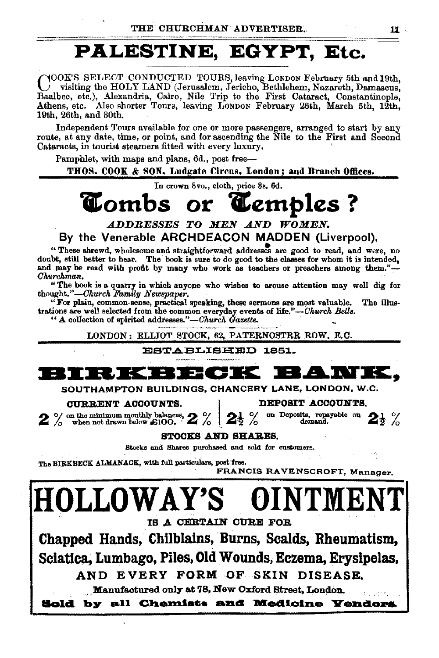### PALESTINE, EGYPT, Etc.

YOOK'S SELECT CONDUCTED TOURS, leaving Lonpon February 5th and 19th. visiting the HOLY LAND (Jerusalem, Jericho, Bethlehem, Nazareth, Damascus, Baalbec, etc.), Alexandria, Cairo, Nile Trip to the First Cataract, Constantinople, Athens, etc. Also shorter Tours, leaving LONDON February 26th, March 5th, 12th, 19th, 26th, and 30th.

Independent Tours available for one or more passengers, arranged to start by any route, at any date, time, or point, and for ascending the Nile to the First and Second Cataracts, in tourist steamers fitted with every luxury,

Pamphlet, with maps and plans, 6d., post free-

THOS. COOK & SON, Ludgate Circus, London; and Branch Offices.

In crown 8vo., cloth, price 3s, 6d.

#### Cambs **Comb**s **C**embles ? Or :

ADDRESSES TO MEN AND WOMEN. By the Venerable ARCHDEACON MADDEN (Liverpool),

"These shrewd, wholesome and straightforward addresses are good to read, and were, no doubt, still better to hear. The book is sure to do good to the classes for whom it is intended, and may be read with profit by many who work as teachers or preachers among them."-Churchman.

"The book is a quarry in which anyone who wishes to arouse attention may well dig for thought."-Church Family Newspaper.

"For plain, common-sense, practical speaking, these sermons are most valuable. The illustrations are well selected from the common everyday events of life."-Church Bells.

" A collection of spirited addresses."-Church Gazette.

LONDON: ELLIOT STOCK, 62, PATERNOSTRR ROW, E.C.

#### **ESTABLISHED 1851.**



SOUTHAMPTON BUILDINGS, CHANCERY LANE, LONDON, W.C.

#### CURRENT ACCOUNTS.

DEPOSIT ACCOUNTS.

 $2\%$  on the minimum monthly balances,  $2\%$ 

on Deposits, repayable on  $2\frac{1}{2}$  % 125%

#### STOCKS AND SHARES.

Stocks and Shares purchased and sold for customers.

The BIRKBECK ALMANACK, with full particulars, post free.

FRANCIS RAVENSCROFT, Manager,